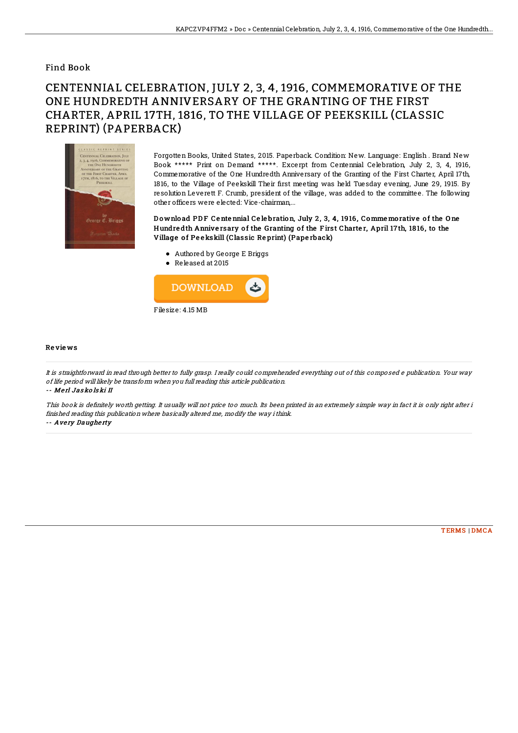## Find Book

## CENTENNIAL CELEBRATION, JULY 2, 3, 4, 1916, COMMEMORATIVE OF THE ONE HUNDREDTH ANNIVERSARY OF THE GRANTING OF THE FIRST CHARTER, APRIL 17TH, 1816, TO THE VILLAGE OF PEEKSKILL (CLASSIC REPRINT) (PAPERBACK)



Forgotten Books, United States, 2015. Paperback. Condition: New. Language: English . Brand New Book \*\*\*\*\* Print on Demand \*\*\*\*\*. Excerpt from Centennial Celebration, July 2, 3, 4, 1916, Commemorative of the One Hundredth Anniversary of the Granting of the First Charter, April 17th, 1816, to the Village of Peekskill Their first meeting was held Tuesday evening, June 29, 1915. By resolution Leverett F. Crumb, president of the village, was added to the committee. The following other officers were elected: Vice-chairman,...

Download PDF Centennial Celebration, July 2, 3, 4, 1916, Commemorative of the One Hundre dth Annive rsary of the Granting of the First Charter, April 17th, 1816, to the Village of Peekskill (Classic Reprint) (Paperback)

- Authored by George E Briggs
- Released at 2015



## Re vie ws

It is straightforward in read through better to fully grasp. I really could comprehended everything out of this composed <sup>e</sup> publication. Your way of life period will likely be transform when you full reading this article publication.

-- Me rl Jas ko ls ki II

This book is definitely worth getting. It usually will not price too much. Its been printed in an extremely simple way in fact it is only right after i finished reading this publication where basically altered me, modify the way ithink. -- Avery Daugherty